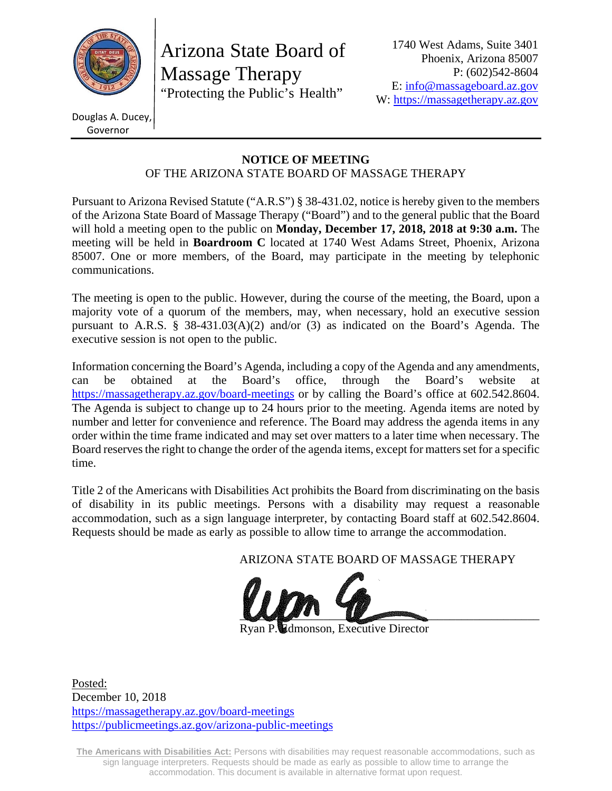

Arizona State Board of Massage Therapy "Protecting the Public's Health"

Douglas A. Ducey, Governor

#### **NOTICE OF MEETING**  OF THE ARIZONA STATE BOARD OF MASSAGE THERAPY

Pursuant to Arizona Revised Statute ("A.R.S") § 38-431.02, notice is hereby given to the members of the Arizona State Board of Massage Therapy ("Board") and to the general public that the Board will hold a meeting open to the public on **Monday, December 17, 2018, 2018 at 9:30 a.m.** The meeting will be held in **Boardroom C** located at 1740 West Adams Street, Phoenix, Arizona 85007. One or more members, of the Board, may participate in the meeting by telephonic communications.

The meeting is open to the public. However, during the course of the meeting, the Board, upon a majority vote of a quorum of the members, may, when necessary, hold an executive session pursuant to A.R.S. § 38-431.03(A)(2) and/or (3) as indicated on the Board's Agenda. The executive session is not open to the public.

Information concerning the Board's Agenda, including a copy of the Agenda and any amendments, can be obtained at the Board's office, through the Board's website at https://massagetherapy.az.gov/board-meetings or by calling the Board's office at 602.542.8604. The Agenda is subject to change up to 24 hours prior to the meeting. Agenda items are noted by number and letter for convenience and reference. The Board may address the agenda items in any order within the time frame indicated and may set over matters to a later time when necessary. The Board reserves the right to change the order of the agenda items, except for matters set for a specific time.

Title 2 of the Americans with Disabilities Act prohibits the Board from discriminating on the basis of disability in its public meetings. Persons with a disability may request a reasonable accommodation, such as a sign language interpreter, by contacting Board staff at 602.542.8604. Requests should be made as early as possible to allow time to arrange the accommodation.

ARIZONA STATE BOARD OF MASSAGE THERAPY



**Edmonson, Executive Director** 

Posted: December 10, 2018 https://massagetherapy.az.gov/board-meetings https://publicmeetings.az.gov/arizona-public-meetings

**The Americans with Disabilities Act:** Persons with disabilities may request reasonable accommodations, such as sign language interpreters. Requests should be made as early as possible to allow time to arrange the accommodation. This document is available in alternative format upon request.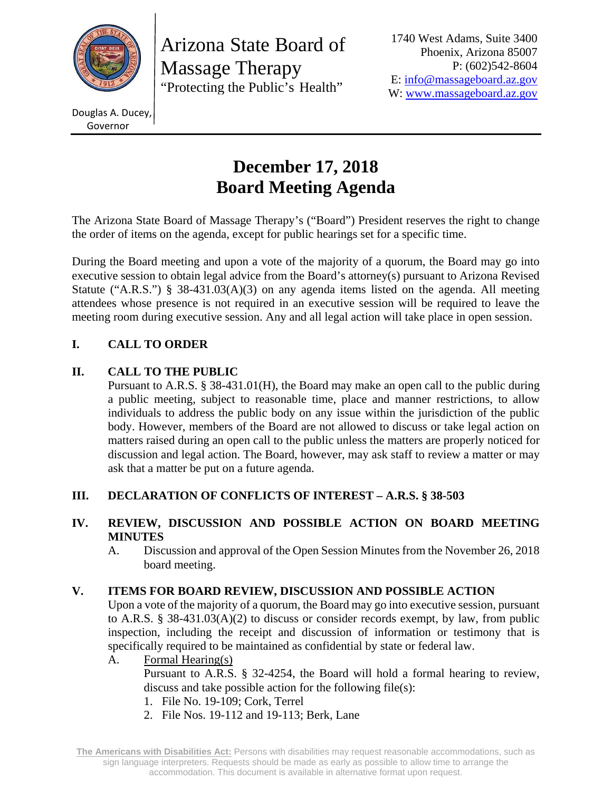

Arizona State Board of Massage Therapy "Protecting the Public's Health"

1740 West Adams, Suite 3400 Phoenix, Arizona 85007 P: (602)542-8604 E: info@massageboard.az.gov W: www.massageboard.az.gov

Douglas A. Ducey, Governor

# **December 17, 2018 Board Meeting Agenda**

The Arizona State Board of Massage Therapy's ("Board") President reserves the right to change the order of items on the agenda, except for public hearings set for a specific time.

During the Board meeting and upon a vote of the majority of a quorum, the Board may go into executive session to obtain legal advice from the Board's attorney(s) pursuant to Arizona Revised Statute ("A.R.S.") § 38-431.03(A)(3) on any agenda items listed on the agenda. All meeting attendees whose presence is not required in an executive session will be required to leave the meeting room during executive session. Any and all legal action will take place in open session.

# **I. CALL TO ORDER**

## **II. CALL TO THE PUBLIC**

 Pursuant to A.R.S. § 38-431.01(H), the Board may make an open call to the public during a public meeting, subject to reasonable time, place and manner restrictions, to allow individuals to address the public body on any issue within the jurisdiction of the public body. However, members of the Board are not allowed to discuss or take legal action on matters raised during an open call to the public unless the matters are properly noticed for discussion and legal action. The Board, however, may ask staff to review a matter or may ask that a matter be put on a future agenda.

## **III. DECLARATION OF CONFLICTS OF INTEREST – A.R.S. § 38-503**

## **IV. REVIEW, DISCUSSION AND POSSIBLE ACTION ON BOARD MEETING MINUTES**

A. Discussion and approval of the Open Session Minutes from the November 26, 2018 board meeting.

## **V. ITEMS FOR BOARD REVIEW, DISCUSSION AND POSSIBLE ACTION**

Upon a vote of the majority of a quorum, the Board may go into executive session, pursuant to A.R.S. § 38-431.03(A)(2) to discuss or consider records exempt, by law, from public inspection, including the receipt and discussion of information or testimony that is specifically required to be maintained as confidential by state or federal law.

## A. Formal Hearing(s)

Pursuant to A.R.S. § 32-4254, the Board will hold a formal hearing to review, discuss and take possible action for the following file(s):

- 1. File No. 19-109; Cork, Terrel
- 2. File Nos. 19-112 and 19-113; Berk, Lane

**The Americans with Disabilities Act:** Persons with disabilities may request reasonable accommodations, such as sign language interpreters. Requests should be made as early as possible to allow time to arrange the accommodation. This document is available in alternative format upon request.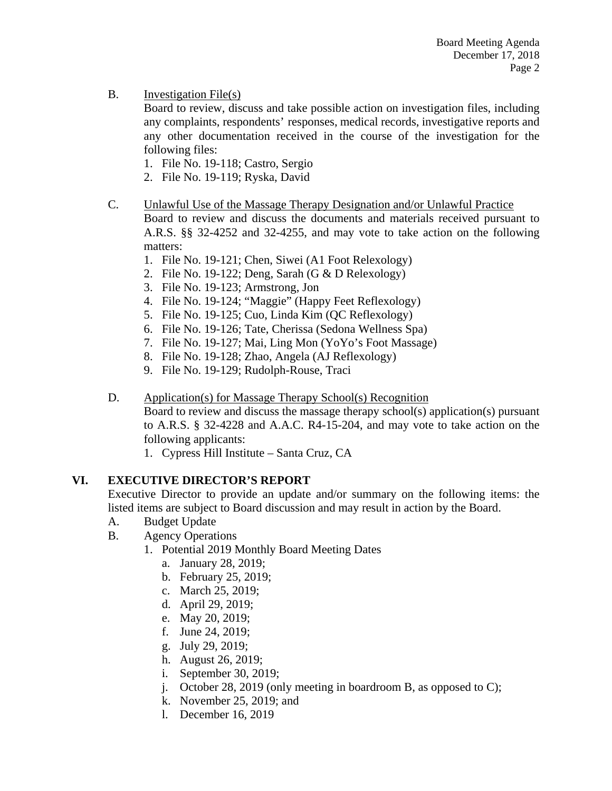B. Investigation File(s)

Board to review, discuss and take possible action on investigation files, including any complaints, respondents' responses, medical records, investigative reports and any other documentation received in the course of the investigation for the following files:

- 1. File No. 19-118; Castro, Sergio
- 2. File No. 19-119; Ryska, David
- C. Unlawful Use of the Massage Therapy Designation and/or Unlawful Practice

Board to review and discuss the documents and materials received pursuant to A.R.S. §§ 32-4252 and 32-4255, and may vote to take action on the following matters:

- 1. File No. 19-121; Chen, Siwei (A1 Foot Relexology)
- 2. File No. 19-122; Deng, Sarah (G & D Relexology)
- 3. File No. 19-123; Armstrong, Jon
- 4. File No. 19-124; "Maggie" (Happy Feet Reflexology)
- 5. File No. 19-125; Cuo, Linda Kim (QC Reflexology)
- 6. File No. 19-126; Tate, Cherissa (Sedona Wellness Spa)
- 7. File No. 19-127; Mai, Ling Mon (YoYo's Foot Massage)
- 8. File No. 19-128; Zhao, Angela (AJ Reflexology)
- 9. File No. 19-129; Rudolph-Rouse, Traci
- D. Application(s) for Massage Therapy School(s) Recognition

Board to review and discuss the massage therapy school(s) application(s) pursuant to A.R.S. § 32-4228 and A.A.C. R4-15-204, and may vote to take action on the following applicants:

1. Cypress Hill Institute – Santa Cruz, CA

#### **VI. EXECUTIVE DIRECTOR'S REPORT**

Executive Director to provide an update and/or summary on the following items: the listed items are subject to Board discussion and may result in action by the Board.

- A. Budget Update
- B. Agency Operations
	- 1. Potential 2019 Monthly Board Meeting Dates
		- a. January 28, 2019;
		- b. February 25, 2019;
		- c. March 25, 2019;
		- d. April 29, 2019;
		- e. May 20, 2019;
		- f. June 24, 2019;
		- g. July 29, 2019;
		- h. August 26, 2019;
		- i. September 30, 2019;
		- j. October 28, 2019 (only meeting in boardroom B, as opposed to C);
		- k. November 25, 2019; and
		- l. December 16, 2019